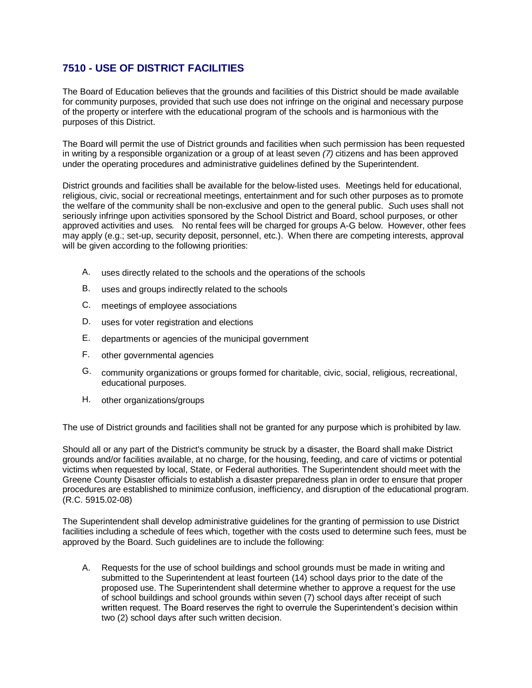## **7510 - USE OF DISTRICT FACILITIES**

The Board of Education believes that the grounds and facilities of this District should be made available for community purposes, provided that such use does not infringe on the original and necessary purpose of the property or interfere with the educational program of the schools and is harmonious with the purposes of this District.

The Board will permit the use of District grounds and facilities when such permission has been requested in writing by a responsible organization or a group of at least seven *(7)* citizens and has been approved under the operating procedures and administrative guidelines defined by the Superintendent.

District grounds and facilities shall be available for the below-listed uses. Meetings held for educational, religious, civic, social or recreational meetings, entertainment and for such other purposes as to promote the welfare of the community shall be non-exclusive and open to the general public. *S*uch uses shall not seriously infringe upon activities sponsored by the School District and Board, school purposes, or other approved activities and uses*.* No rental fees will be charged for groups A-G below.However, other fees may apply (e.g.; set-up, security deposit, personnel, etc.). When there are competing interests, approval will be given according to the following priorities:

- A. uses directly related to the schools and the operations of the schools
- B. uses and groups indirectly related to the schools
- C. meetings of employee associations
- D. uses for voter registration and elections
- E. departments or agencies of the municipal government
- F. other governmental agencies
- G. community organizations or groups formed for charitable, civic, social, religious, recreational, educational purposes.
- H. other organizations/groups

The use of District grounds and facilities shall not be granted for any purpose which is prohibited by law.

Should all or any part of the District's community be struck by a disaster, the Board shall make District grounds and/or facilities available, at no charge, for the housing, feeding, and care of victims or potential victims when requested by local, State, or Federal authorities. The Superintendent should meet with the Greene County Disaster officials to establish a disaster preparedness plan in order to ensure that proper procedures are established to minimize confusion, inefficiency, and disruption of the educational program. (R.C. 5915.02-08)

The Superintendent shall develop administrative guidelines for the granting of permission to use District facilities including a schedule of fees which, together with the costs used to determine such fees, must be approved by the Board. Such guidelines are to include the following:

A. Requests for the use of school buildings and school grounds must be made in writing and submitted to the Superintendent at least fourteen (14) school days prior to the date of the proposed use. The Superintendent shall determine whether to approve a request for the use of school buildings and school grounds within seven (7) school days after receipt of such written request. The Board reserves the right to overrule the Superintendent's decision within two (2) school days after such written decision.